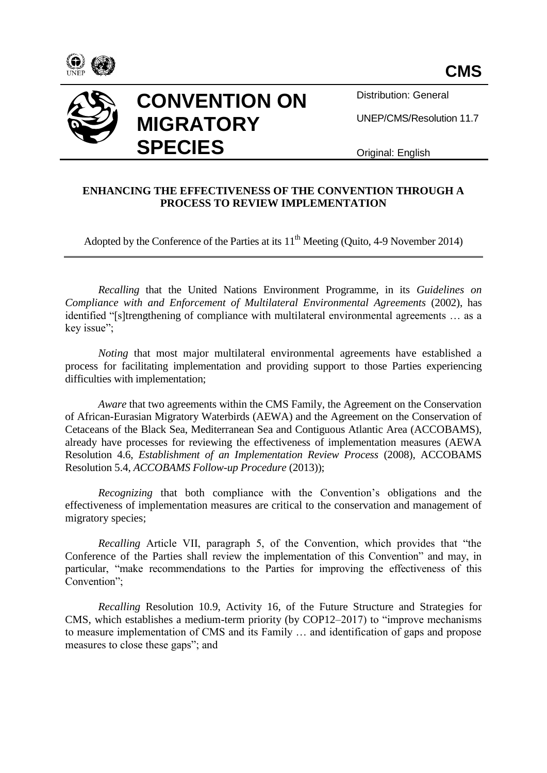



**CONVENTION ON MIGRATORY SPECIES**

Distribution: General

UNEP/CMS/Resolution 11.7

Original: English

## **ENHANCING THE EFFECTIVENESS OF THE CONVENTION THROUGH A PROCESS TO REVIEW IMPLEMENTATION**

Adopted by the Conference of the Parties at its  $11<sup>th</sup>$  Meeting (Quito, 4-9 November 2014)

*Recalling* that the United Nations Environment Programme, in its *Guidelines on Compliance with and Enforcement of Multilateral Environmental Agreements* (2002), has identified "[s]trengthening of compliance with multilateral environmental agreements … as a key issue";

*Noting* that most major multilateral environmental agreements have established a process for facilitating implementation and providing support to those Parties experiencing difficulties with implementation;

*Aware* that two agreements within the CMS Family, the Agreement on the Conservation of African-Eurasian Migratory Waterbirds (AEWA) and the Agreement on the Conservation of Cetaceans of the Black Sea, Mediterranean Sea and Contiguous Atlantic Area (ACCOBAMS), already have processes for reviewing the effectiveness of implementation measures (AEWA Resolution 4.6, *Establishment of an Implementation Review Process* (2008), ACCOBAMS Resolution 5.4, *ACCOBAMS Follow-up Procedure* (2013));

*Recognizing* that both compliance with the Convention's obligations and the effectiveness of implementation measures are critical to the conservation and management of migratory species;

*Recalling* Article VII, paragraph 5, of the Convention, which provides that "the Conference of the Parties shall review the implementation of this Convention" and may, in particular, "make recommendations to the Parties for improving the effectiveness of this Convention";

*Recalling* Resolution 10.9, Activity 16, of the Future Structure and Strategies for CMS, which establishes a medium-term priority (by COP12–2017) to "improve mechanisms to measure implementation of CMS and its Family … and identification of gaps and propose measures to close these gaps"; and